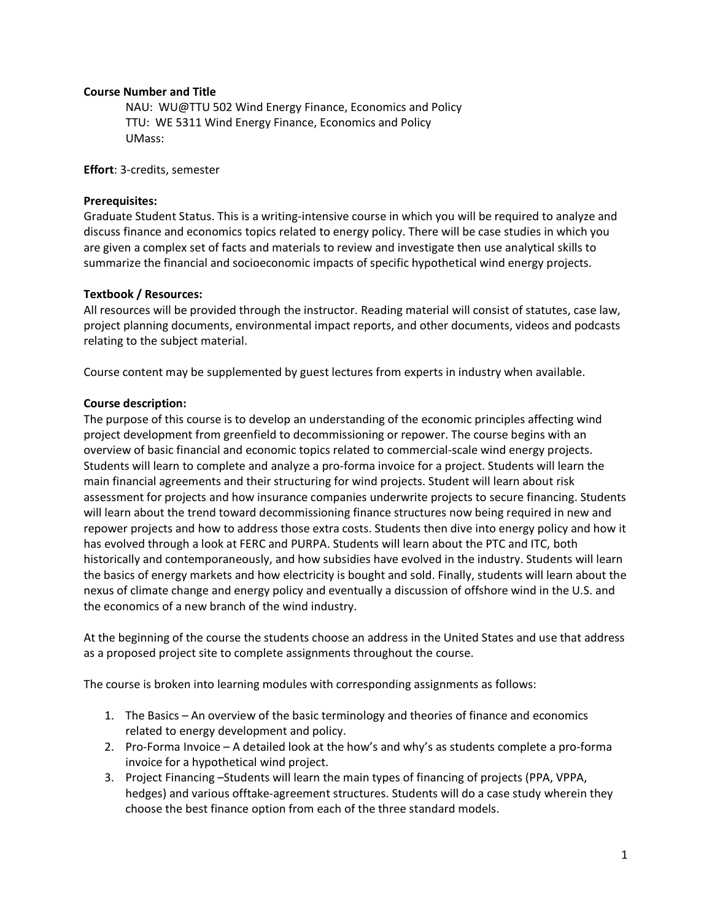## **Course Number and Title**

NAU: WU@TTU 502 Wind Energy Finance, Economics and Policy TTU: WE 5311 Wind Energy Finance, Economics and Policy UMass:

**Effort**: 3-credits, semester

## **Prerequisites:**

Graduate Student Status. This is a writing-intensive course in which you will be required to analyze and discuss finance and economics topics related to energy policy. There will be case studies in which you are given a complex set of facts and materials to review and investigate then use analytical skills to summarize the financial and socioeconomic impacts of specific hypothetical wind energy projects.

### **Textbook / Resources:**

All resources will be provided through the instructor. Reading material will consist of statutes, case law, project planning documents, environmental impact reports, and other documents, videos and podcasts relating to the subject material.

Course content may be supplemented by guest lectures from experts in industry when available.

### **Course description:**

The purpose of this course is to develop an understanding of the economic principles affecting wind project development from greenfield to decommissioning or repower. The course begins with an overview of basic financial and economic topics related to commercial-scale wind energy projects. Students will learn to complete and analyze a pro-forma invoice for a project. Students will learn the main financial agreements and their structuring for wind projects. Student will learn about risk assessment for projects and how insurance companies underwrite projects to secure financing. Students will learn about the trend toward decommissioning finance structures now being required in new and repower projects and how to address those extra costs. Students then dive into energy policy and how it has evolved through a look at FERC and PURPA. Students will learn about the PTC and ITC, both historically and contemporaneously, and how subsidies have evolved in the industry. Students will learn the basics of energy markets and how electricity is bought and sold. Finally, students will learn about the nexus of climate change and energy policy and eventually a discussion of offshore wind in the U.S. and the economics of a new branch of the wind industry.

At the beginning of the course the students choose an address in the United States and use that address as a proposed project site to complete assignments throughout the course.

The course is broken into learning modules with corresponding assignments as follows:

- 1. The Basics An overview of the basic terminology and theories of finance and economics related to energy development and policy.
- 2. Pro-Forma Invoice A detailed look at the how's and why's as students complete a pro-forma invoice for a hypothetical wind project.
- 3. Project Financing –Students will learn the main types of financing of projects (PPA, VPPA, hedges) and various offtake-agreement structures. Students will do a case study wherein they choose the best finance option from each of the three standard models.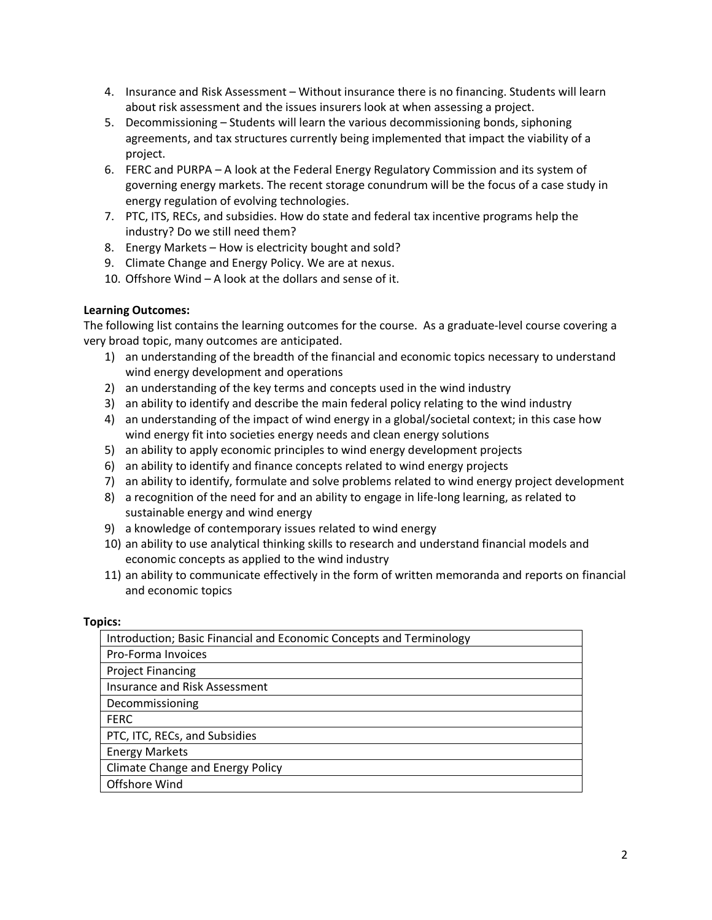- 4. Insurance and Risk Assessment Without insurance there is no financing. Students will learn about risk assessment and the issues insurers look at when assessing a project.
- 5. Decommissioning Students will learn the various decommissioning bonds, siphoning agreements, and tax structures currently being implemented that impact the viability of a project.
- 6. FERC and PURPA A look at the Federal Energy Regulatory Commission and its system of governing energy markets. The recent storage conundrum will be the focus of a case study in energy regulation of evolving technologies.
- 7. PTC, ITS, RECs, and subsidies. How do state and federal tax incentive programs help the industry? Do we still need them?
- 8. Energy Markets How is electricity bought and sold?
- 9. Climate Change and Energy Policy. We are at nexus.
- 10. Offshore Wind A look at the dollars and sense of it.

# **Learning Outcomes:**

The following list contains the learning outcomes for the course. As a graduate-level course covering a very broad topic, many outcomes are anticipated.

- 1) an understanding of the breadth of the financial and economic topics necessary to understand wind energy development and operations
- 2) an understanding of the key terms and concepts used in the wind industry
- 3) an ability to identify and describe the main federal policy relating to the wind industry
- 4) an understanding of the impact of wind energy in a global/societal context; in this case how wind energy fit into societies energy needs and clean energy solutions
- 5) an ability to apply economic principles to wind energy development projects
- 6) an ability to identify and finance concepts related to wind energy projects
- 7) an ability to identify, formulate and solve problems related to wind energy project development
- 8) a recognition of the need for and an ability to engage in life-long learning, as related to sustainable energy and wind energy
- 9) a knowledge of contemporary issues related to wind energy
- 10) an ability to use analytical thinking skills to research and understand financial models and economic concepts as applied to the wind industry
- 11) an ability to communicate effectively in the form of written memoranda and reports on financial and economic topics

## **Topics:**

| Introduction; Basic Financial and Economic Concepts and Terminology |
|---------------------------------------------------------------------|
| Pro-Forma Invoices                                                  |
| <b>Project Financing</b>                                            |
| <b>Insurance and Risk Assessment</b>                                |
| Decommissioning                                                     |
| <b>FERC</b>                                                         |
| PTC, ITC, RECs, and Subsidies                                       |
| <b>Energy Markets</b>                                               |
| <b>Climate Change and Energy Policy</b>                             |
| Offshore Wind                                                       |